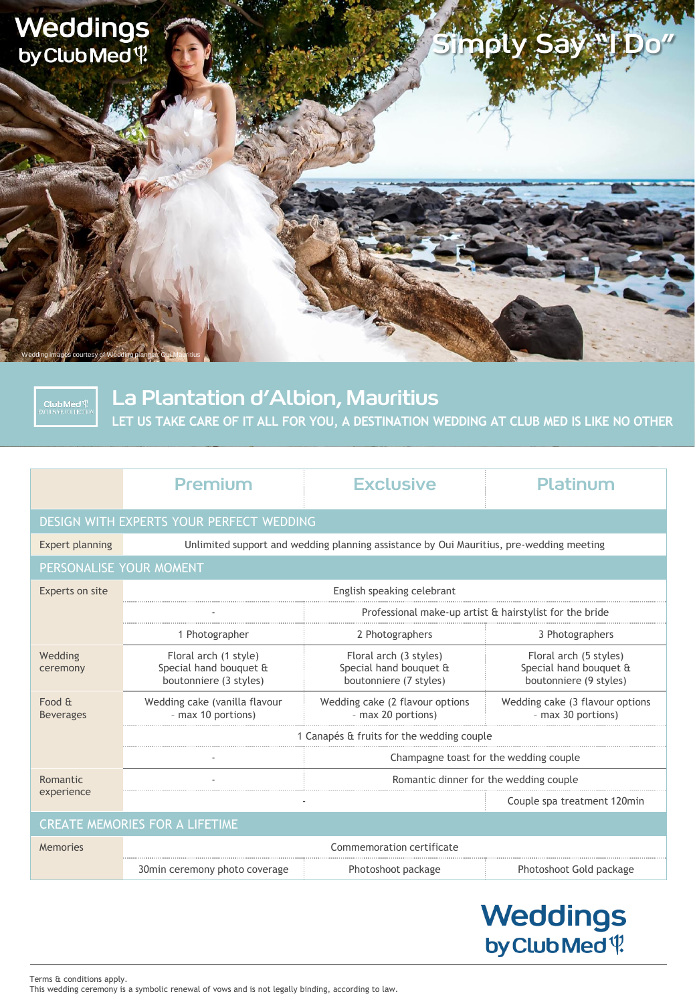

**Club Med<sup>{</sup>**<br>XCLUSIVE COLLECTION

La Plantation d'Albion, Mauritius

**LET US TAKE CARE OF IT ALL FOR YOU, A DESTINATION WEDDING AT CLUB MED IS LIKE NO OTHER**

|                                          | Premium                                                                                 | <b>Exclusive</b>                                                           | Platinum                                                                   |
|------------------------------------------|-----------------------------------------------------------------------------------------|----------------------------------------------------------------------------|----------------------------------------------------------------------------|
| DESIGN WITH EXPERTS YOUR PERFECT WEDDING |                                                                                         |                                                                            |                                                                            |
| <b>Expert planning</b>                   | Unlimited support and wedding planning assistance by Oui Mauritius, pre-wedding meeting |                                                                            |                                                                            |
| PERSONALISE YOUR MOMENT                  |                                                                                         |                                                                            |                                                                            |
| Experts on site                          | English speaking celebrant                                                              |                                                                            |                                                                            |
|                                          |                                                                                         | Professional make-up artist & hairstylist for the bride                    |                                                                            |
|                                          | 1 Photographer                                                                          | 2 Photographers                                                            | 3 Photographers                                                            |
| Wedding<br>ceremony                      | Floral arch (1 style)<br>Special hand bouquet &<br>boutonniere (3 styles)               | Floral arch (3 styles)<br>Special hand bouquet &<br>boutonniere (7 styles) | Floral arch (5 styles)<br>Special hand bouquet &<br>boutonniere (9 styles) |
| Food &<br><b>Beverages</b>               | Wedding cake (vanilla flavour<br>- max 10 portions)                                     | Wedding cake (2 flavour options<br>- max 20 portions)                      | Wedding cake (3 flavour options<br>- max 30 portions)                      |
|                                          | 1 Canapés & fruits for the wedding couple                                               |                                                                            |                                                                            |
|                                          |                                                                                         | Champagne toast for the wedding couple                                     |                                                                            |
| Romantic<br>experience                   |                                                                                         | Romantic dinner for the wedding couple                                     |                                                                            |
|                                          |                                                                                         |                                                                            | Couple spa treatment 120min                                                |
| <b>CREATE MEMORIES FOR A LIFETIME</b>    |                                                                                         |                                                                            |                                                                            |
| Memories                                 | Commemoration certificate                                                               |                                                                            |                                                                            |
|                                          | 30min ceremony photo coverage                                                           | Photoshoot package                                                         | Photoshoot Gold package                                                    |

# **Weddings** by Club Med<sup>q</sup>

Terms & conditions apply. This wedding ceremony is a symbolic renewal of vows and is not legally binding, according to law.